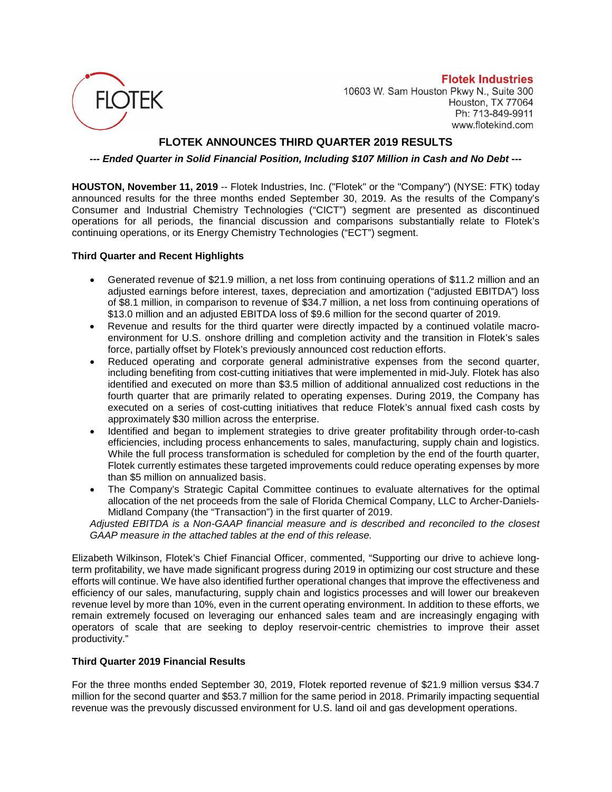

**Flotek Industries** 10603 W. Sam Houston Pkwy N., Suite 300 Houston, TX 77064 Ph: 713-849-9911 www.flotekind.com

# **FLOTEK ANNOUNCES THIRD QUARTER 2019 RESULTS**

*--- Ended Quarter in Solid Financial Position, Including \$107 Million in Cash and No Debt ---*

**HOUSTON, November 11, 2019** -- Flotek Industries, Inc. ("Flotek" or the "Company") (NYSE: FTK) today announced results for the three months ended September 30, 2019. As the results of the Company's Consumer and Industrial Chemistry Technologies ("CICT") segment are presented as discontinued operations for all periods, the financial discussion and comparisons substantially relate to Flotek's continuing operations, or its Energy Chemistry Technologies ("ECT") segment.

## **Third Quarter and Recent Highlights**

- Generated revenue of \$21.9 million, a net loss from continuing operations of \$11.2 million and an adjusted earnings before interest, taxes, depreciation and amortization ("adjusted EBITDA") loss of \$8.1 million, in comparison to revenue of \$34.7 million, a net loss from continuing operations of \$13.0 million and an adjusted EBITDA loss of \$9.6 million for the second quarter of 2019.
- Revenue and results for the third quarter were directly impacted by a continued volatile macroenvironment for U.S. onshore drilling and completion activity and the transition in Flotek's sales force, partially offset by Flotek's previously announced cost reduction efforts.
- Reduced operating and corporate general administrative expenses from the second quarter, including benefiting from cost-cutting initiatives that were implemented in mid-July. Flotek has also identified and executed on more than \$3.5 million of additional annualized cost reductions in the fourth quarter that are primarily related to operating expenses. During 2019, the Company has executed on a series of cost-cutting initiatives that reduce Flotek's annual fixed cash costs by approximately \$30 million across the enterprise.
- Identified and began to implement strategies to drive greater profitability through order-to-cash efficiencies, including process enhancements to sales, manufacturing, supply chain and logistics. While the full process transformation is scheduled for completion by the end of the fourth quarter, Flotek currently estimates these targeted improvements could reduce operating expenses by more than \$5 million on annualized basis.
- The Company's Strategic Capital Committee continues to evaluate alternatives for the optimal allocation of the net proceeds from the sale of Florida Chemical Company, LLC to Archer-Daniels-Midland Company (the "Transaction") in the first quarter of 2019.

*Adjusted EBITDA is a Non-GAAP financial measure and is described and reconciled to the closest GAAP measure in the attached tables at the end of this release.*

Elizabeth Wilkinson, Flotek's Chief Financial Officer, commented, "Supporting our drive to achieve longterm profitability, we have made significant progress during 2019 in optimizing our cost structure and these efforts will continue. We have also identified further operational changes that improve the effectiveness and efficiency of our sales, manufacturing, supply chain and logistics processes and will lower our breakeven revenue level by more than 10%, even in the current operating environment. In addition to these efforts, we remain extremely focused on leveraging our enhanced sales team and are increasingly engaging with operators of scale that are seeking to deploy reservoir-centric chemistries to improve their asset productivity."

## **Third Quarter 2019 Financial Results**

For the three months ended September 30, 2019, Flotek reported revenue of \$21.9 million versus \$34.7 million for the second quarter and \$53.7 million for the same period in 2018. Primarily impacting sequential revenue was the prevously discussed environment for U.S. land oil and gas development operations.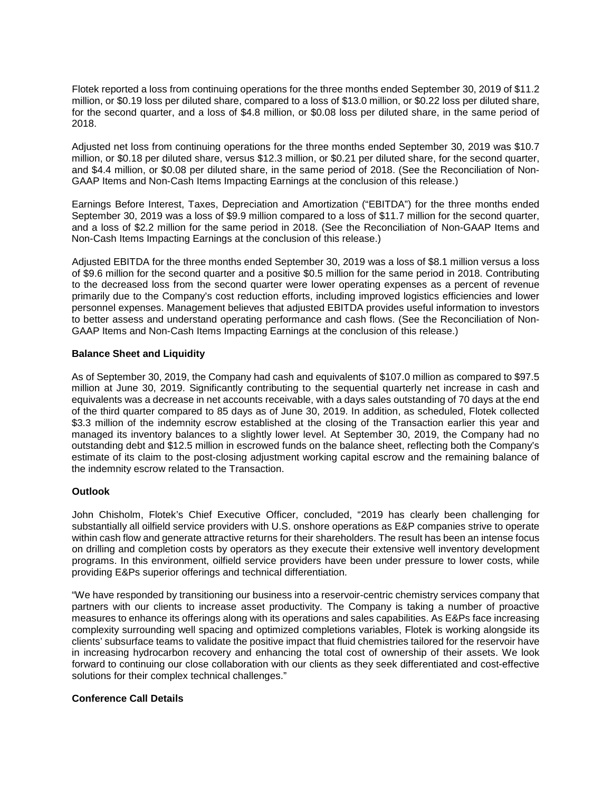Flotek reported a loss from continuing operations for the three months ended September 30, 2019 of \$11.2 million, or \$0.19 loss per diluted share, compared to a loss of \$13.0 million, or \$0.22 loss per diluted share, for the second quarter, and a loss of \$4.8 million, or \$0.08 loss per diluted share, in the same period of 2018.

Adjusted net loss from continuing operations for the three months ended September 30, 2019 was \$10.7 million, or \$0.18 per diluted share, versus \$12.3 million, or \$0.21 per diluted share, for the second quarter, and \$4.4 million, or \$0.08 per diluted share, in the same period of 2018. (See the Reconciliation of Non-GAAP Items and Non-Cash Items Impacting Earnings at the conclusion of this release.)

Earnings Before Interest, Taxes, Depreciation and Amortization ("EBITDA") for the three months ended September 30, 2019 was a loss of \$9.9 million compared to a loss of \$11.7 million for the second quarter, and a loss of \$2.2 million for the same period in 2018. (See the Reconciliation of Non-GAAP Items and Non-Cash Items Impacting Earnings at the conclusion of this release.)

Adjusted EBITDA for the three months ended September 30, 2019 was a loss of \$8.1 million versus a loss of \$9.6 million for the second quarter and a positive \$0.5 million for the same period in 2018. Contributing to the decreased loss from the second quarter were lower operating expenses as a percent of revenue primarily due to the Company's cost reduction efforts, including improved logistics efficiencies and lower personnel expenses. Management believes that adjusted EBITDA provides useful information to investors to better assess and understand operating performance and cash flows. (See the Reconciliation of Non-GAAP Items and Non-Cash Items Impacting Earnings at the conclusion of this release.)

## **Balance Sheet and Liquidity**

As of September 30, 2019, the Company had cash and equivalents of \$107.0 million as compared to \$97.5 million at June 30, 2019. Significantly contributing to the sequential quarterly net increase in cash and equivalents was a decrease in net accounts receivable, with a days sales outstanding of 70 days at the end of the third quarter compared to 85 days as of June 30, 2019. In addition, as scheduled, Flotek collected \$3.3 million of the indemnity escrow established at the closing of the Transaction earlier this year and managed its inventory balances to a slightly lower level. At September 30, 2019, the Company had no outstanding debt and \$12.5 million in escrowed funds on the balance sheet, reflecting both the Company's estimate of its claim to the post-closing adjustment working capital escrow and the remaining balance of the indemnity escrow related to the Transaction.

### **Outlook**

John Chisholm, Flotek's Chief Executive Officer, concluded, "2019 has clearly been challenging for substantially all oilfield service providers with U.S. onshore operations as E&P companies strive to operate within cash flow and generate attractive returns for their shareholders. The result has been an intense focus on drilling and completion costs by operators as they execute their extensive well inventory development programs. In this environment, oilfield service providers have been under pressure to lower costs, while providing E&Ps superior offerings and technical differentiation.

"We have responded by transitioning our business into a reservoir-centric chemistry services company that partners with our clients to increase asset productivity. The Company is taking a number of proactive measures to enhance its offerings along with its operations and sales capabilities. As E&Ps face increasing complexity surrounding well spacing and optimized completions variables, Flotek is working alongside its clients' subsurface teams to validate the positive impact that fluid chemistries tailored for the reservoir have in increasing hydrocarbon recovery and enhancing the total cost of ownership of their assets. We look forward to continuing our close collaboration with our clients as they seek differentiated and cost-effective solutions for their complex technical challenges."

### **Conference Call Details**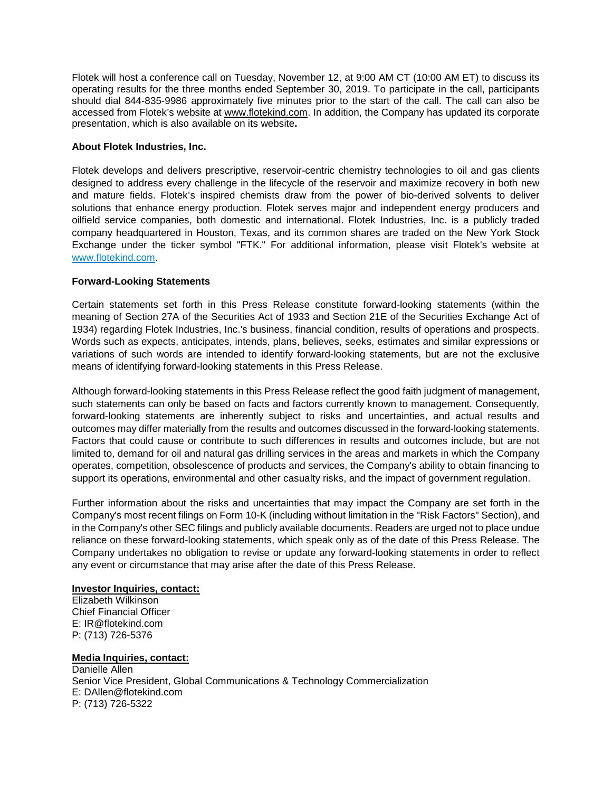Flotek will host a conference call on Tuesday, November 12, at 9:00 AM CT (10:00 AM ET) to discuss its operating results for the three months ended September 30, 2019. To participate in the call, participants should dial 844-835-9986 approximately five minutes prior to the start of the call. The call can also be accessed from Flotek's website at [www.flotekind.com.](http://www.flotekind.com/) In addition, the Company has updated its corporate presentation, which is also available on its website**.**

## **About Flotek Industries, Inc.**

Flotek develops and delivers prescriptive, reservoir-centric chemistry technologies to oil and gas clients designed to address every challenge in the lifecycle of the reservoir and maximize recovery in both new and mature fields. Flotek's inspired chemists draw from the power of bio-derived solvents to deliver solutions that enhance energy production. Flotek serves major and independent energy producers and oilfield service companies, both domestic and international. Flotek Industries, Inc. is a publicly traded company headquartered in Houston, Texas, and its common shares are traded on the New York Stock Exchange under the ticker symbol "FTK." For additional information, please visit Flotek's website at [www.flotekind.com.](http://www.flotekind.com/)

## **Forward-Looking Statements**

Certain statements set forth in this Press Release constitute forward-looking statements (within the meaning of Section 27A of the Securities Act of 1933 and Section 21E of the Securities Exchange Act of 1934) regarding Flotek Industries, Inc.'s business, financial condition, results of operations and prospects. Words such as expects, anticipates, intends, plans, believes, seeks, estimates and similar expressions or variations of such words are intended to identify forward-looking statements, but are not the exclusive means of identifying forward-looking statements in this Press Release.

Although forward-looking statements in this Press Release reflect the good faith judgment of management, such statements can only be based on facts and factors currently known to management. Consequently, forward-looking statements are inherently subject to risks and uncertainties, and actual results and outcomes may differ materially from the results and outcomes discussed in the forward-looking statements. Factors that could cause or contribute to such differences in results and outcomes include, but are not limited to, demand for oil and natural gas drilling services in the areas and markets in which the Company operates, competition, obsolescence of products and services, the Company's ability to obtain financing to support its operations, environmental and other casualty risks, and the impact of government regulation.

Further information about the risks and uncertainties that may impact the Company are set forth in the Company's most recent filings on Form 10-K (including without limitation in the "Risk Factors" Section), and in the Company's other SEC filings and publicly available documents. Readers are urged not to place undue reliance on these forward-looking statements, which speak only as of the date of this Press Release. The Company undertakes no obligation to revise or update any forward-looking statements in order to reflect any event or circumstance that may arise after the date of this Press Release.

## **Investor Inquiries, contact:**

Elizabeth Wilkinson Chief Financial Officer E: [IR@flotekind.com](mailto:IR@flotekind.com) P: (713) 726-5376

## **Media Inquiries, contact:**

Danielle Allen Senior Vice President, Global Communications & Technology Commercialization E: DAllen@flotekind.com P: (713) 726-5322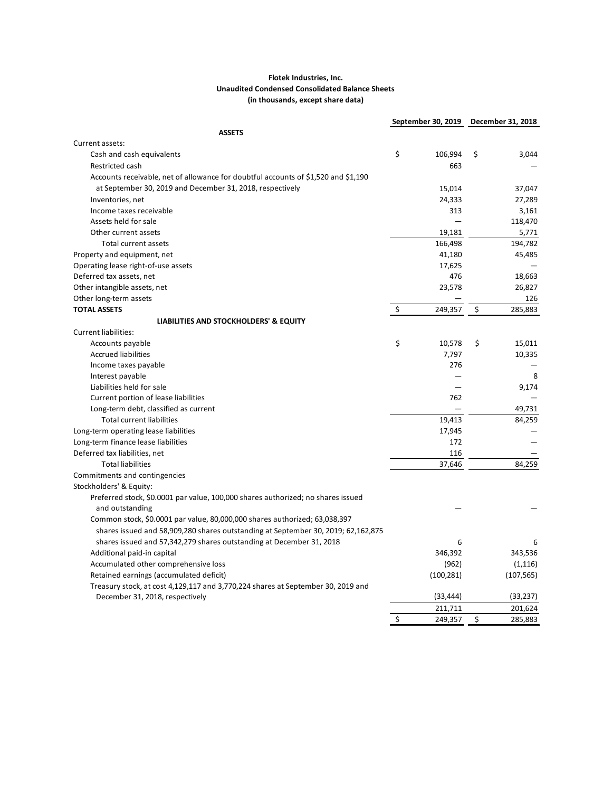### **Flotek Industries, Inc. Unaudited Condensed Consolidated Balance Sheets (in thousands, except share data)**

|                                                                                    |                      | September 30, 2019 December 31, 2018 |               |
|------------------------------------------------------------------------------------|----------------------|--------------------------------------|---------------|
| <b>ASSETS</b>                                                                      |                      |                                      |               |
| Current assets:                                                                    |                      |                                      |               |
| Cash and cash equivalents                                                          | \$                   | 106,994                              | \$<br>3,044   |
| Restricted cash                                                                    |                      | 663                                  |               |
| Accounts receivable, net of allowance for doubtful accounts of \$1,520 and \$1,190 |                      |                                      |               |
| at September 30, 2019 and December 31, 2018, respectively                          |                      | 15,014                               | 37,047        |
| Inventories, net                                                                   |                      | 24,333                               | 27,289        |
| Income taxes receivable                                                            |                      | 313                                  | 3,161         |
| Assets held for sale                                                               |                      | $\overline{\phantom{0}}$             | 118,470       |
| Other current assets                                                               |                      | 19,181                               | 5,771         |
| Total current assets                                                               |                      | 166,498                              | 194,782       |
| Property and equipment, net                                                        |                      | 41,180                               | 45,485        |
| Operating lease right-of-use assets                                                |                      | 17,625                               |               |
| Deferred tax assets, net                                                           |                      | 476                                  | 18,663        |
| Other intangible assets, net                                                       |                      | 23,578                               | 26,827        |
| Other long-term assets                                                             |                      |                                      | 126           |
| <b>TOTAL ASSETS</b>                                                                | $\boldsymbol{\zeta}$ | 249,357                              | \$<br>285,883 |
| LIABILITIES AND STOCKHOLDERS' & EQUITY                                             |                      |                                      |               |
| Current liabilities:                                                               |                      |                                      |               |
| Accounts payable                                                                   | \$                   | 10,578                               | \$<br>15,011  |
| <b>Accrued liabilities</b>                                                         |                      | 7,797                                | 10,335        |
| Income taxes payable                                                               |                      | 276                                  |               |
| Interest payable                                                                   |                      |                                      | 8             |
| Liabilities held for sale                                                          |                      |                                      | 9,174         |
| Current portion of lease liabilities                                               |                      | 762                                  |               |
| Long-term debt, classified as current                                              |                      |                                      | 49,731        |
| <b>Total current liabilities</b>                                                   |                      | 19,413                               | 84,259        |
| Long-term operating lease liabilities                                              |                      | 17,945                               |               |
| Long-term finance lease liabilities                                                |                      | 172                                  |               |
| Deferred tax liabilities, net                                                      |                      | 116                                  |               |
| <b>Total liabilities</b>                                                           |                      | 37,646                               | 84,259        |
| Commitments and contingencies                                                      |                      |                                      |               |
| Stockholders' & Equity:                                                            |                      |                                      |               |
| Preferred stock, \$0.0001 par value, 100,000 shares authorized; no shares issued   |                      |                                      |               |
| and outstanding                                                                    |                      |                                      |               |
| Common stock, \$0.0001 par value, 80,000,000 shares authorized; 63,038,397         |                      |                                      |               |
| shares issued and 58,909,280 shares outstanding at September 30, 2019; 62,162,875  |                      |                                      |               |
| shares issued and 57,342,279 shares outstanding at December 31, 2018               |                      | 6                                    | 6             |
| Additional paid-in capital                                                         |                      | 346,392                              | 343,536       |
| Accumulated other comprehensive loss                                               |                      | (962)                                | (1, 116)      |
| Retained earnings (accumulated deficit)                                            |                      | (100, 281)                           | (107, 565)    |
| Treasury stock, at cost 4,129,117 and 3,770,224 shares at September 30, 2019 and   |                      |                                      |               |
| December 31, 2018, respectively                                                    |                      | (33, 444)                            | (33, 237)     |
|                                                                                    |                      | 211,711                              | 201,624       |
|                                                                                    | \$                   | 249,357                              | \$<br>285,883 |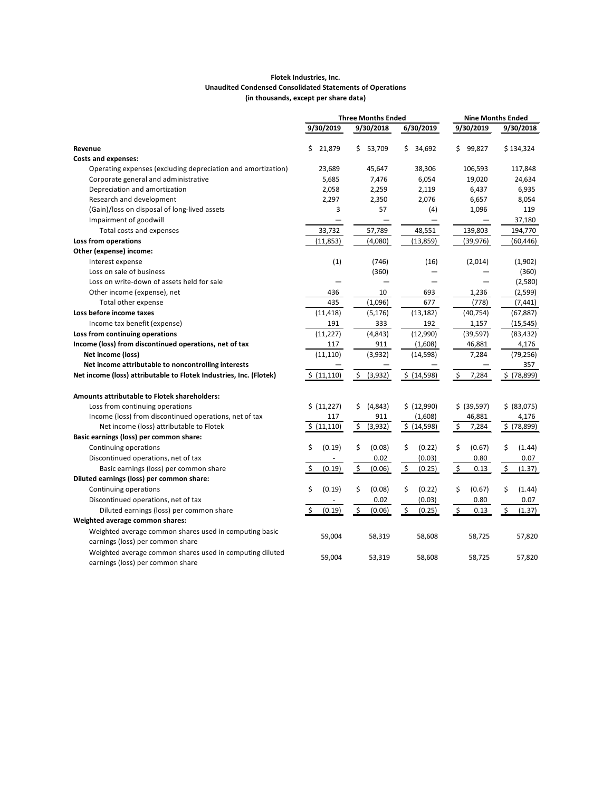#### **Flotek Industries, Inc. Unaudited Condensed Consolidated Statements of Operations (in thousands, except per share data)**

|                                                                                              | <b>Three Months Ended</b> |                                     | <b>Nine Months Ended</b> |                                   |                                     |
|----------------------------------------------------------------------------------------------|---------------------------|-------------------------------------|--------------------------|-----------------------------------|-------------------------------------|
|                                                                                              | 9/30/2019                 | 9/30/2018                           | 6/30/2019                | 9/30/2019                         | 9/30/2018                           |
| Revenue                                                                                      | \$<br>21,879              | 53,709<br>\$                        | \$<br>34,692             | 99,827<br>\$                      | \$134,324                           |
| <b>Costs and expenses:</b>                                                                   |                           |                                     |                          |                                   |                                     |
| Operating expenses (excluding depreciation and amortization)                                 | 23,689                    | 45,647                              | 38,306                   | 106,593                           | 117,848                             |
| Corporate general and administrative                                                         | 5,685                     | 7,476                               | 6,054                    | 19,020                            | 24,634                              |
| Depreciation and amortization                                                                | 2,058                     | 2,259                               | 2,119                    | 6,437                             | 6,935                               |
| Research and development                                                                     | 2,297                     | 2,350                               | 2,076                    | 6,657                             | 8,054                               |
| (Gain)/loss on disposal of long-lived assets                                                 | 3                         | 57                                  | (4)                      | 1,096                             | 119                                 |
| Impairment of goodwill                                                                       |                           |                                     |                          |                                   | 37,180                              |
| Total costs and expenses                                                                     | 33,732                    | 57,789                              | 48,551                   | 139,803                           | 194,770                             |
| Loss from operations                                                                         | (11, 853)                 | (4,080)                             | (13, 859)                | (39, 976)                         | (60, 446)                           |
| Other (expense) income:                                                                      |                           |                                     |                          |                                   |                                     |
| Interest expense                                                                             | (1)                       | (746)                               | (16)                     | (2,014)                           | (1,902)                             |
| Loss on sale of business                                                                     |                           | (360)                               |                          |                                   | (360)                               |
| Loss on write-down of assets held for sale                                                   |                           |                                     |                          |                                   | (2,580)                             |
| Other income (expense), net                                                                  | 436                       | 10                                  | 693                      | 1,236                             | (2,599)                             |
| Total other expense                                                                          | 435                       | (1,096)                             | 677                      | (778)                             | (7, 441)                            |
| Loss before income taxes                                                                     | (11, 418)                 | (5, 176)                            | (13, 182)                | (40, 754)                         | (67, 887)                           |
| Income tax benefit (expense)                                                                 | 191                       | 333                                 | 192                      | 1,157                             | (15, 545)                           |
| Loss from continuing operations                                                              | (11, 227)                 | (4,843)                             | (12,990)                 | (39, 597)                         | (83, 432)                           |
| Income (loss) from discontinued operations, net of tax                                       | 117                       | 911                                 | (1,608)                  | 46,881                            | 4,176                               |
| Net income (loss)                                                                            | (11, 110)                 | (3,932)                             | (14, 598)                | 7,284                             | (79, 256)                           |
| Net income attributable to noncontrolling interests                                          |                           |                                     |                          |                                   | 357                                 |
| Net income (loss) attributable to Flotek Industries, Inc. (Flotek)                           | \$ (11,110)               | \$<br>(3,932)                       | \$ (14,598)              | \$<br>7,284                       | $$$ (78,899)                        |
| <b>Amounts attributable to Flotek shareholders:</b>                                          |                           |                                     |                          |                                   |                                     |
| Loss from continuing operations                                                              | \$ (11,227)               | \$<br>(4,843)                       | \$ (12,990)              | \$ (39,597)                       | \$ (83,075)                         |
| Income (loss) from discontinued operations, net of tax                                       | 117                       | 911                                 | (1,608)                  | 46,881                            | 4,176                               |
| Net income (loss) attributable to Flotek                                                     | \$ (11,110)               | \$<br>(3,932)                       | \$ (14,598)              | $\zeta$<br>7,284                  | \$ (78,899)                         |
| Basic earnings (loss) per common share:                                                      |                           |                                     |                          |                                   |                                     |
| Continuing operations                                                                        | \$<br>(0.19)              | \$<br>(0.08)                        | \$<br>(0.22)             | \$<br>(0.67)                      | \$<br>(1.44)                        |
| Discontinued operations, net of tax                                                          |                           | 0.02                                | (0.03)                   | 0.80                              | 0.07                                |
| Basic earnings (loss) per common share                                                       | \$<br>(0.19)              | $\boldsymbol{\mathsf{S}}$<br>(0.06) | \$<br>(0.25)             | $\boldsymbol{\mathsf{S}}$<br>0.13 | $\boldsymbol{\mathsf{S}}$<br>(1.37) |
| Diluted earnings (loss) per common share:                                                    |                           |                                     |                          |                                   |                                     |
| Continuing operations                                                                        | \$<br>(0.19)              | \$<br>(0.08)                        | \$<br>(0.22)             | \$<br>(0.67)                      | \$<br>(1.44)                        |
| Discontinued operations, net of tax                                                          |                           | 0.02                                | (0.03)                   | 0.80                              | 0.07                                |
| Diluted earnings (loss) per common share                                                     | \$<br>(0.19)              | \$<br>(0.06)                        | \$<br>(0.25)             | \$<br>0.13                        | \$<br>(1.37)                        |
| Weighted average common shares:                                                              |                           |                                     |                          |                                   |                                     |
| Weighted average common shares used in computing basic<br>earnings (loss) per common share   | 59,004                    | 58,319                              | 58,608                   | 58,725                            | 57,820                              |
| Weighted average common shares used in computing diluted<br>earnings (loss) per common share | 59,004                    | 53,319                              | 58,608                   | 58,725                            | 57,820                              |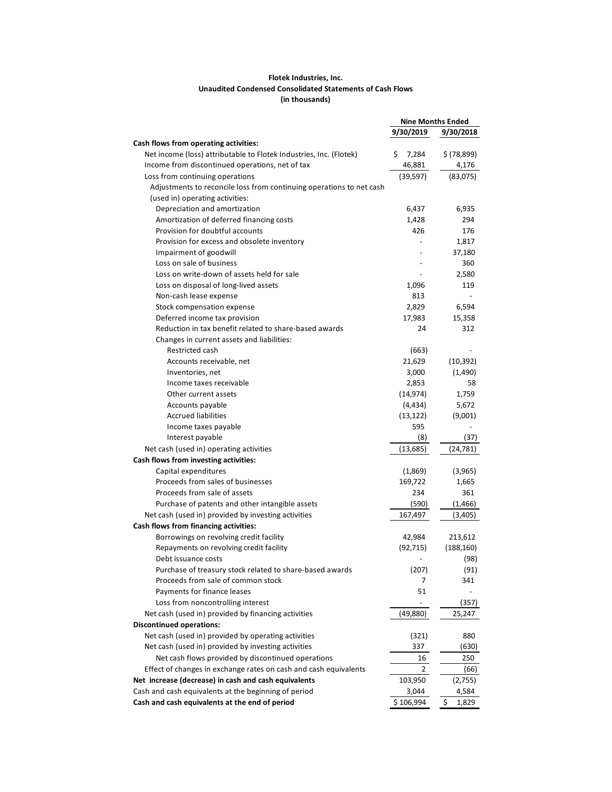### **Flotek Industries, Inc. Unaudited Condensed Consolidated Statements of Cash Flows (in thousands)**

| 9/30/2019<br>9/30/2018<br>Cash flows from operating activities:<br>Net income (loss) attributable to Flotek Industries, Inc. (Flotek)<br>\$<br>\$ (78,899)<br>7,284<br>Income from discontinued operations, net of tax<br>46,881<br>4,176<br>(39, 597)<br>Loss from continuing operations<br>(83,075)<br>Adjustments to reconcile loss from continuing operations to net cash<br>(used in) operating activities:<br>Depreciation and amortization<br>6,437<br>6,935<br>Amortization of deferred financing costs<br>1,428<br>294<br>Provision for doubtful accounts<br>426<br>176<br>Provision for excess and obsolete inventory<br>1,817<br>Impairment of goodwill<br>37,180<br>Loss on sale of business<br>360<br>Loss on write-down of assets held for sale<br>2,580<br>Loss on disposal of long-lived assets<br>1,096<br>119<br>Non-cash lease expense<br>813<br>Stock compensation expense<br>2,829<br>6,594<br>Deferred income tax provision<br>17,983<br>15,358<br>Reduction in tax benefit related to share-based awards<br>24<br>312<br>Changes in current assets and liabilities:<br>Restricted cash<br>(663)<br>21,629<br>Accounts receivable, net<br>(10, 392)<br>Inventories, net<br>3,000<br>(1,490)<br>2,853<br>Income taxes receivable<br>58<br>(14, 974)<br>1,759<br>Other current assets<br>(4, 434)<br>5,672<br>Accounts payable<br><b>Accrued liabilities</b><br>(9,001)<br>(13, 122)<br>Income taxes payable<br>595<br>(37)<br>Interest payable<br>(8)<br>(24, 781)<br>Net cash (used in) operating activities<br>(13, 685)<br>Cash flows from investing activities:<br>Capital expenditures<br>(1,869)<br>(3,965)<br>Proceeds from sales of businesses<br>169,722<br>1,665<br>Proceeds from sale of assets<br>234<br>361<br>Purchase of patents and other intangible assets<br>(590)<br>(1,466)<br>Net cash (used in) provided by investing activities<br>167,497<br>(3,405)<br>Cash flows from financing activities:<br>Borrowings on revolving credit facility<br>42,984<br>213,612<br>Repayments on revolving credit facility<br>(92, 715)<br>(188, 160)<br>(98)<br>Debt issuance costs<br>Purchase of treasury stock related to share-based awards<br>(207)<br>(91)<br>Proceeds from sale of common stock<br>7<br>341<br>Payments for finance leases<br>51<br>Loss from noncontrolling interest<br>(357)<br>Net cash (used in) provided by financing activities<br>25,247<br>(49, 880)<br><b>Discontinued operations:</b><br>Net cash (used in) provided by operating activities<br>(321)<br>880<br>Net cash (used in) provided by investing activities<br>337<br>(630)<br>Net cash flows provided by discontinued operations<br>250<br>16<br>Effect of changes in exchange rates on cash and cash equivalents<br>2<br>(66)<br>Net increase (decrease) in cash and cash equivalents<br>103,950<br>(2,755)<br>Cash and cash equivalents at the beginning of period<br>3,044<br>4,584<br>\$106,994 |                                                | <b>Nine Months Ended</b> |  |             |
|---------------------------------------------------------------------------------------------------------------------------------------------------------------------------------------------------------------------------------------------------------------------------------------------------------------------------------------------------------------------------------------------------------------------------------------------------------------------------------------------------------------------------------------------------------------------------------------------------------------------------------------------------------------------------------------------------------------------------------------------------------------------------------------------------------------------------------------------------------------------------------------------------------------------------------------------------------------------------------------------------------------------------------------------------------------------------------------------------------------------------------------------------------------------------------------------------------------------------------------------------------------------------------------------------------------------------------------------------------------------------------------------------------------------------------------------------------------------------------------------------------------------------------------------------------------------------------------------------------------------------------------------------------------------------------------------------------------------------------------------------------------------------------------------------------------------------------------------------------------------------------------------------------------------------------------------------------------------------------------------------------------------------------------------------------------------------------------------------------------------------------------------------------------------------------------------------------------------------------------------------------------------------------------------------------------------------------------------------------------------------------------------------------------------------------------------------------------------------------------------------------------------------------------------------------------------------------------------------------------------------------------------------------------------------------------------------------------------------------------------------------------------------------------------------------------------------------------------------------------------------------------------------------------------------|------------------------------------------------|--------------------------|--|-------------|
|                                                                                                                                                                                                                                                                                                                                                                                                                                                                                                                                                                                                                                                                                                                                                                                                                                                                                                                                                                                                                                                                                                                                                                                                                                                                                                                                                                                                                                                                                                                                                                                                                                                                                                                                                                                                                                                                                                                                                                                                                                                                                                                                                                                                                                                                                                                                                                                                                                                                                                                                                                                                                                                                                                                                                                                                                                                                                                                           |                                                |                          |  |             |
|                                                                                                                                                                                                                                                                                                                                                                                                                                                                                                                                                                                                                                                                                                                                                                                                                                                                                                                                                                                                                                                                                                                                                                                                                                                                                                                                                                                                                                                                                                                                                                                                                                                                                                                                                                                                                                                                                                                                                                                                                                                                                                                                                                                                                                                                                                                                                                                                                                                                                                                                                                                                                                                                                                                                                                                                                                                                                                                           |                                                |                          |  |             |
|                                                                                                                                                                                                                                                                                                                                                                                                                                                                                                                                                                                                                                                                                                                                                                                                                                                                                                                                                                                                                                                                                                                                                                                                                                                                                                                                                                                                                                                                                                                                                                                                                                                                                                                                                                                                                                                                                                                                                                                                                                                                                                                                                                                                                                                                                                                                                                                                                                                                                                                                                                                                                                                                                                                                                                                                                                                                                                                           |                                                |                          |  |             |
|                                                                                                                                                                                                                                                                                                                                                                                                                                                                                                                                                                                                                                                                                                                                                                                                                                                                                                                                                                                                                                                                                                                                                                                                                                                                                                                                                                                                                                                                                                                                                                                                                                                                                                                                                                                                                                                                                                                                                                                                                                                                                                                                                                                                                                                                                                                                                                                                                                                                                                                                                                                                                                                                                                                                                                                                                                                                                                                           |                                                |                          |  |             |
|                                                                                                                                                                                                                                                                                                                                                                                                                                                                                                                                                                                                                                                                                                                                                                                                                                                                                                                                                                                                                                                                                                                                                                                                                                                                                                                                                                                                                                                                                                                                                                                                                                                                                                                                                                                                                                                                                                                                                                                                                                                                                                                                                                                                                                                                                                                                                                                                                                                                                                                                                                                                                                                                                                                                                                                                                                                                                                                           |                                                |                          |  |             |
|                                                                                                                                                                                                                                                                                                                                                                                                                                                                                                                                                                                                                                                                                                                                                                                                                                                                                                                                                                                                                                                                                                                                                                                                                                                                                                                                                                                                                                                                                                                                                                                                                                                                                                                                                                                                                                                                                                                                                                                                                                                                                                                                                                                                                                                                                                                                                                                                                                                                                                                                                                                                                                                                                                                                                                                                                                                                                                                           |                                                |                          |  |             |
|                                                                                                                                                                                                                                                                                                                                                                                                                                                                                                                                                                                                                                                                                                                                                                                                                                                                                                                                                                                                                                                                                                                                                                                                                                                                                                                                                                                                                                                                                                                                                                                                                                                                                                                                                                                                                                                                                                                                                                                                                                                                                                                                                                                                                                                                                                                                                                                                                                                                                                                                                                                                                                                                                                                                                                                                                                                                                                                           |                                                |                          |  |             |
|                                                                                                                                                                                                                                                                                                                                                                                                                                                                                                                                                                                                                                                                                                                                                                                                                                                                                                                                                                                                                                                                                                                                                                                                                                                                                                                                                                                                                                                                                                                                                                                                                                                                                                                                                                                                                                                                                                                                                                                                                                                                                                                                                                                                                                                                                                                                                                                                                                                                                                                                                                                                                                                                                                                                                                                                                                                                                                                           |                                                |                          |  |             |
|                                                                                                                                                                                                                                                                                                                                                                                                                                                                                                                                                                                                                                                                                                                                                                                                                                                                                                                                                                                                                                                                                                                                                                                                                                                                                                                                                                                                                                                                                                                                                                                                                                                                                                                                                                                                                                                                                                                                                                                                                                                                                                                                                                                                                                                                                                                                                                                                                                                                                                                                                                                                                                                                                                                                                                                                                                                                                                                           |                                                |                          |  |             |
|                                                                                                                                                                                                                                                                                                                                                                                                                                                                                                                                                                                                                                                                                                                                                                                                                                                                                                                                                                                                                                                                                                                                                                                                                                                                                                                                                                                                                                                                                                                                                                                                                                                                                                                                                                                                                                                                                                                                                                                                                                                                                                                                                                                                                                                                                                                                                                                                                                                                                                                                                                                                                                                                                                                                                                                                                                                                                                                           |                                                |                          |  |             |
|                                                                                                                                                                                                                                                                                                                                                                                                                                                                                                                                                                                                                                                                                                                                                                                                                                                                                                                                                                                                                                                                                                                                                                                                                                                                                                                                                                                                                                                                                                                                                                                                                                                                                                                                                                                                                                                                                                                                                                                                                                                                                                                                                                                                                                                                                                                                                                                                                                                                                                                                                                                                                                                                                                                                                                                                                                                                                                                           |                                                |                          |  |             |
|                                                                                                                                                                                                                                                                                                                                                                                                                                                                                                                                                                                                                                                                                                                                                                                                                                                                                                                                                                                                                                                                                                                                                                                                                                                                                                                                                                                                                                                                                                                                                                                                                                                                                                                                                                                                                                                                                                                                                                                                                                                                                                                                                                                                                                                                                                                                                                                                                                                                                                                                                                                                                                                                                                                                                                                                                                                                                                                           |                                                |                          |  |             |
|                                                                                                                                                                                                                                                                                                                                                                                                                                                                                                                                                                                                                                                                                                                                                                                                                                                                                                                                                                                                                                                                                                                                                                                                                                                                                                                                                                                                                                                                                                                                                                                                                                                                                                                                                                                                                                                                                                                                                                                                                                                                                                                                                                                                                                                                                                                                                                                                                                                                                                                                                                                                                                                                                                                                                                                                                                                                                                                           |                                                |                          |  |             |
|                                                                                                                                                                                                                                                                                                                                                                                                                                                                                                                                                                                                                                                                                                                                                                                                                                                                                                                                                                                                                                                                                                                                                                                                                                                                                                                                                                                                                                                                                                                                                                                                                                                                                                                                                                                                                                                                                                                                                                                                                                                                                                                                                                                                                                                                                                                                                                                                                                                                                                                                                                                                                                                                                                                                                                                                                                                                                                                           |                                                |                          |  |             |
|                                                                                                                                                                                                                                                                                                                                                                                                                                                                                                                                                                                                                                                                                                                                                                                                                                                                                                                                                                                                                                                                                                                                                                                                                                                                                                                                                                                                                                                                                                                                                                                                                                                                                                                                                                                                                                                                                                                                                                                                                                                                                                                                                                                                                                                                                                                                                                                                                                                                                                                                                                                                                                                                                                                                                                                                                                                                                                                           |                                                |                          |  |             |
|                                                                                                                                                                                                                                                                                                                                                                                                                                                                                                                                                                                                                                                                                                                                                                                                                                                                                                                                                                                                                                                                                                                                                                                                                                                                                                                                                                                                                                                                                                                                                                                                                                                                                                                                                                                                                                                                                                                                                                                                                                                                                                                                                                                                                                                                                                                                                                                                                                                                                                                                                                                                                                                                                                                                                                                                                                                                                                                           |                                                |                          |  |             |
|                                                                                                                                                                                                                                                                                                                                                                                                                                                                                                                                                                                                                                                                                                                                                                                                                                                                                                                                                                                                                                                                                                                                                                                                                                                                                                                                                                                                                                                                                                                                                                                                                                                                                                                                                                                                                                                                                                                                                                                                                                                                                                                                                                                                                                                                                                                                                                                                                                                                                                                                                                                                                                                                                                                                                                                                                                                                                                                           |                                                |                          |  |             |
|                                                                                                                                                                                                                                                                                                                                                                                                                                                                                                                                                                                                                                                                                                                                                                                                                                                                                                                                                                                                                                                                                                                                                                                                                                                                                                                                                                                                                                                                                                                                                                                                                                                                                                                                                                                                                                                                                                                                                                                                                                                                                                                                                                                                                                                                                                                                                                                                                                                                                                                                                                                                                                                                                                                                                                                                                                                                                                                           |                                                |                          |  |             |
|                                                                                                                                                                                                                                                                                                                                                                                                                                                                                                                                                                                                                                                                                                                                                                                                                                                                                                                                                                                                                                                                                                                                                                                                                                                                                                                                                                                                                                                                                                                                                                                                                                                                                                                                                                                                                                                                                                                                                                                                                                                                                                                                                                                                                                                                                                                                                                                                                                                                                                                                                                                                                                                                                                                                                                                                                                                                                                                           |                                                |                          |  |             |
|                                                                                                                                                                                                                                                                                                                                                                                                                                                                                                                                                                                                                                                                                                                                                                                                                                                                                                                                                                                                                                                                                                                                                                                                                                                                                                                                                                                                                                                                                                                                                                                                                                                                                                                                                                                                                                                                                                                                                                                                                                                                                                                                                                                                                                                                                                                                                                                                                                                                                                                                                                                                                                                                                                                                                                                                                                                                                                                           |                                                |                          |  |             |
|                                                                                                                                                                                                                                                                                                                                                                                                                                                                                                                                                                                                                                                                                                                                                                                                                                                                                                                                                                                                                                                                                                                                                                                                                                                                                                                                                                                                                                                                                                                                                                                                                                                                                                                                                                                                                                                                                                                                                                                                                                                                                                                                                                                                                                                                                                                                                                                                                                                                                                                                                                                                                                                                                                                                                                                                                                                                                                                           |                                                |                          |  |             |
|                                                                                                                                                                                                                                                                                                                                                                                                                                                                                                                                                                                                                                                                                                                                                                                                                                                                                                                                                                                                                                                                                                                                                                                                                                                                                                                                                                                                                                                                                                                                                                                                                                                                                                                                                                                                                                                                                                                                                                                                                                                                                                                                                                                                                                                                                                                                                                                                                                                                                                                                                                                                                                                                                                                                                                                                                                                                                                                           |                                                |                          |  |             |
|                                                                                                                                                                                                                                                                                                                                                                                                                                                                                                                                                                                                                                                                                                                                                                                                                                                                                                                                                                                                                                                                                                                                                                                                                                                                                                                                                                                                                                                                                                                                                                                                                                                                                                                                                                                                                                                                                                                                                                                                                                                                                                                                                                                                                                                                                                                                                                                                                                                                                                                                                                                                                                                                                                                                                                                                                                                                                                                           |                                                |                          |  |             |
|                                                                                                                                                                                                                                                                                                                                                                                                                                                                                                                                                                                                                                                                                                                                                                                                                                                                                                                                                                                                                                                                                                                                                                                                                                                                                                                                                                                                                                                                                                                                                                                                                                                                                                                                                                                                                                                                                                                                                                                                                                                                                                                                                                                                                                                                                                                                                                                                                                                                                                                                                                                                                                                                                                                                                                                                                                                                                                                           |                                                |                          |  |             |
|                                                                                                                                                                                                                                                                                                                                                                                                                                                                                                                                                                                                                                                                                                                                                                                                                                                                                                                                                                                                                                                                                                                                                                                                                                                                                                                                                                                                                                                                                                                                                                                                                                                                                                                                                                                                                                                                                                                                                                                                                                                                                                                                                                                                                                                                                                                                                                                                                                                                                                                                                                                                                                                                                                                                                                                                                                                                                                                           |                                                |                          |  |             |
|                                                                                                                                                                                                                                                                                                                                                                                                                                                                                                                                                                                                                                                                                                                                                                                                                                                                                                                                                                                                                                                                                                                                                                                                                                                                                                                                                                                                                                                                                                                                                                                                                                                                                                                                                                                                                                                                                                                                                                                                                                                                                                                                                                                                                                                                                                                                                                                                                                                                                                                                                                                                                                                                                                                                                                                                                                                                                                                           |                                                |                          |  |             |
|                                                                                                                                                                                                                                                                                                                                                                                                                                                                                                                                                                                                                                                                                                                                                                                                                                                                                                                                                                                                                                                                                                                                                                                                                                                                                                                                                                                                                                                                                                                                                                                                                                                                                                                                                                                                                                                                                                                                                                                                                                                                                                                                                                                                                                                                                                                                                                                                                                                                                                                                                                                                                                                                                                                                                                                                                                                                                                                           |                                                |                          |  |             |
|                                                                                                                                                                                                                                                                                                                                                                                                                                                                                                                                                                                                                                                                                                                                                                                                                                                                                                                                                                                                                                                                                                                                                                                                                                                                                                                                                                                                                                                                                                                                                                                                                                                                                                                                                                                                                                                                                                                                                                                                                                                                                                                                                                                                                                                                                                                                                                                                                                                                                                                                                                                                                                                                                                                                                                                                                                                                                                                           |                                                |                          |  |             |
|                                                                                                                                                                                                                                                                                                                                                                                                                                                                                                                                                                                                                                                                                                                                                                                                                                                                                                                                                                                                                                                                                                                                                                                                                                                                                                                                                                                                                                                                                                                                                                                                                                                                                                                                                                                                                                                                                                                                                                                                                                                                                                                                                                                                                                                                                                                                                                                                                                                                                                                                                                                                                                                                                                                                                                                                                                                                                                                           |                                                |                          |  |             |
|                                                                                                                                                                                                                                                                                                                                                                                                                                                                                                                                                                                                                                                                                                                                                                                                                                                                                                                                                                                                                                                                                                                                                                                                                                                                                                                                                                                                                                                                                                                                                                                                                                                                                                                                                                                                                                                                                                                                                                                                                                                                                                                                                                                                                                                                                                                                                                                                                                                                                                                                                                                                                                                                                                                                                                                                                                                                                                                           |                                                |                          |  |             |
|                                                                                                                                                                                                                                                                                                                                                                                                                                                                                                                                                                                                                                                                                                                                                                                                                                                                                                                                                                                                                                                                                                                                                                                                                                                                                                                                                                                                                                                                                                                                                                                                                                                                                                                                                                                                                                                                                                                                                                                                                                                                                                                                                                                                                                                                                                                                                                                                                                                                                                                                                                                                                                                                                                                                                                                                                                                                                                                           |                                                |                          |  |             |
|                                                                                                                                                                                                                                                                                                                                                                                                                                                                                                                                                                                                                                                                                                                                                                                                                                                                                                                                                                                                                                                                                                                                                                                                                                                                                                                                                                                                                                                                                                                                                                                                                                                                                                                                                                                                                                                                                                                                                                                                                                                                                                                                                                                                                                                                                                                                                                                                                                                                                                                                                                                                                                                                                                                                                                                                                                                                                                                           |                                                |                          |  |             |
|                                                                                                                                                                                                                                                                                                                                                                                                                                                                                                                                                                                                                                                                                                                                                                                                                                                                                                                                                                                                                                                                                                                                                                                                                                                                                                                                                                                                                                                                                                                                                                                                                                                                                                                                                                                                                                                                                                                                                                                                                                                                                                                                                                                                                                                                                                                                                                                                                                                                                                                                                                                                                                                                                                                                                                                                                                                                                                                           |                                                |                          |  |             |
|                                                                                                                                                                                                                                                                                                                                                                                                                                                                                                                                                                                                                                                                                                                                                                                                                                                                                                                                                                                                                                                                                                                                                                                                                                                                                                                                                                                                                                                                                                                                                                                                                                                                                                                                                                                                                                                                                                                                                                                                                                                                                                                                                                                                                                                                                                                                                                                                                                                                                                                                                                                                                                                                                                                                                                                                                                                                                                                           |                                                |                          |  |             |
|                                                                                                                                                                                                                                                                                                                                                                                                                                                                                                                                                                                                                                                                                                                                                                                                                                                                                                                                                                                                                                                                                                                                                                                                                                                                                                                                                                                                                                                                                                                                                                                                                                                                                                                                                                                                                                                                                                                                                                                                                                                                                                                                                                                                                                                                                                                                                                                                                                                                                                                                                                                                                                                                                                                                                                                                                                                                                                                           |                                                |                          |  |             |
|                                                                                                                                                                                                                                                                                                                                                                                                                                                                                                                                                                                                                                                                                                                                                                                                                                                                                                                                                                                                                                                                                                                                                                                                                                                                                                                                                                                                                                                                                                                                                                                                                                                                                                                                                                                                                                                                                                                                                                                                                                                                                                                                                                                                                                                                                                                                                                                                                                                                                                                                                                                                                                                                                                                                                                                                                                                                                                                           |                                                |                          |  |             |
|                                                                                                                                                                                                                                                                                                                                                                                                                                                                                                                                                                                                                                                                                                                                                                                                                                                                                                                                                                                                                                                                                                                                                                                                                                                                                                                                                                                                                                                                                                                                                                                                                                                                                                                                                                                                                                                                                                                                                                                                                                                                                                                                                                                                                                                                                                                                                                                                                                                                                                                                                                                                                                                                                                                                                                                                                                                                                                                           |                                                |                          |  |             |
|                                                                                                                                                                                                                                                                                                                                                                                                                                                                                                                                                                                                                                                                                                                                                                                                                                                                                                                                                                                                                                                                                                                                                                                                                                                                                                                                                                                                                                                                                                                                                                                                                                                                                                                                                                                                                                                                                                                                                                                                                                                                                                                                                                                                                                                                                                                                                                                                                                                                                                                                                                                                                                                                                                                                                                                                                                                                                                                           |                                                |                          |  |             |
|                                                                                                                                                                                                                                                                                                                                                                                                                                                                                                                                                                                                                                                                                                                                                                                                                                                                                                                                                                                                                                                                                                                                                                                                                                                                                                                                                                                                                                                                                                                                                                                                                                                                                                                                                                                                                                                                                                                                                                                                                                                                                                                                                                                                                                                                                                                                                                                                                                                                                                                                                                                                                                                                                                                                                                                                                                                                                                                           |                                                |                          |  |             |
|                                                                                                                                                                                                                                                                                                                                                                                                                                                                                                                                                                                                                                                                                                                                                                                                                                                                                                                                                                                                                                                                                                                                                                                                                                                                                                                                                                                                                                                                                                                                                                                                                                                                                                                                                                                                                                                                                                                                                                                                                                                                                                                                                                                                                                                                                                                                                                                                                                                                                                                                                                                                                                                                                                                                                                                                                                                                                                                           |                                                |                          |  |             |
|                                                                                                                                                                                                                                                                                                                                                                                                                                                                                                                                                                                                                                                                                                                                                                                                                                                                                                                                                                                                                                                                                                                                                                                                                                                                                                                                                                                                                                                                                                                                                                                                                                                                                                                                                                                                                                                                                                                                                                                                                                                                                                                                                                                                                                                                                                                                                                                                                                                                                                                                                                                                                                                                                                                                                                                                                                                                                                                           |                                                |                          |  |             |
|                                                                                                                                                                                                                                                                                                                                                                                                                                                                                                                                                                                                                                                                                                                                                                                                                                                                                                                                                                                                                                                                                                                                                                                                                                                                                                                                                                                                                                                                                                                                                                                                                                                                                                                                                                                                                                                                                                                                                                                                                                                                                                                                                                                                                                                                                                                                                                                                                                                                                                                                                                                                                                                                                                                                                                                                                                                                                                                           |                                                |                          |  |             |
|                                                                                                                                                                                                                                                                                                                                                                                                                                                                                                                                                                                                                                                                                                                                                                                                                                                                                                                                                                                                                                                                                                                                                                                                                                                                                                                                                                                                                                                                                                                                                                                                                                                                                                                                                                                                                                                                                                                                                                                                                                                                                                                                                                                                                                                                                                                                                                                                                                                                                                                                                                                                                                                                                                                                                                                                                                                                                                                           |                                                |                          |  |             |
|                                                                                                                                                                                                                                                                                                                                                                                                                                                                                                                                                                                                                                                                                                                                                                                                                                                                                                                                                                                                                                                                                                                                                                                                                                                                                                                                                                                                                                                                                                                                                                                                                                                                                                                                                                                                                                                                                                                                                                                                                                                                                                                                                                                                                                                                                                                                                                                                                                                                                                                                                                                                                                                                                                                                                                                                                                                                                                                           |                                                |                          |  |             |
|                                                                                                                                                                                                                                                                                                                                                                                                                                                                                                                                                                                                                                                                                                                                                                                                                                                                                                                                                                                                                                                                                                                                                                                                                                                                                                                                                                                                                                                                                                                                                                                                                                                                                                                                                                                                                                                                                                                                                                                                                                                                                                                                                                                                                                                                                                                                                                                                                                                                                                                                                                                                                                                                                                                                                                                                                                                                                                                           |                                                |                          |  |             |
|                                                                                                                                                                                                                                                                                                                                                                                                                                                                                                                                                                                                                                                                                                                                                                                                                                                                                                                                                                                                                                                                                                                                                                                                                                                                                                                                                                                                                                                                                                                                                                                                                                                                                                                                                                                                                                                                                                                                                                                                                                                                                                                                                                                                                                                                                                                                                                                                                                                                                                                                                                                                                                                                                                                                                                                                                                                                                                                           |                                                |                          |  |             |
|                                                                                                                                                                                                                                                                                                                                                                                                                                                                                                                                                                                                                                                                                                                                                                                                                                                                                                                                                                                                                                                                                                                                                                                                                                                                                                                                                                                                                                                                                                                                                                                                                                                                                                                                                                                                                                                                                                                                                                                                                                                                                                                                                                                                                                                                                                                                                                                                                                                                                                                                                                                                                                                                                                                                                                                                                                                                                                                           |                                                |                          |  |             |
|                                                                                                                                                                                                                                                                                                                                                                                                                                                                                                                                                                                                                                                                                                                                                                                                                                                                                                                                                                                                                                                                                                                                                                                                                                                                                                                                                                                                                                                                                                                                                                                                                                                                                                                                                                                                                                                                                                                                                                                                                                                                                                                                                                                                                                                                                                                                                                                                                                                                                                                                                                                                                                                                                                                                                                                                                                                                                                                           |                                                |                          |  |             |
|                                                                                                                                                                                                                                                                                                                                                                                                                                                                                                                                                                                                                                                                                                                                                                                                                                                                                                                                                                                                                                                                                                                                                                                                                                                                                                                                                                                                                                                                                                                                                                                                                                                                                                                                                                                                                                                                                                                                                                                                                                                                                                                                                                                                                                                                                                                                                                                                                                                                                                                                                                                                                                                                                                                                                                                                                                                                                                                           |                                                |                          |  |             |
|                                                                                                                                                                                                                                                                                                                                                                                                                                                                                                                                                                                                                                                                                                                                                                                                                                                                                                                                                                                                                                                                                                                                                                                                                                                                                                                                                                                                                                                                                                                                                                                                                                                                                                                                                                                                                                                                                                                                                                                                                                                                                                                                                                                                                                                                                                                                                                                                                                                                                                                                                                                                                                                                                                                                                                                                                                                                                                                           |                                                |                          |  |             |
|                                                                                                                                                                                                                                                                                                                                                                                                                                                                                                                                                                                                                                                                                                                                                                                                                                                                                                                                                                                                                                                                                                                                                                                                                                                                                                                                                                                                                                                                                                                                                                                                                                                                                                                                                                                                                                                                                                                                                                                                                                                                                                                                                                                                                                                                                                                                                                                                                                                                                                                                                                                                                                                                                                                                                                                                                                                                                                                           |                                                |                          |  |             |
|                                                                                                                                                                                                                                                                                                                                                                                                                                                                                                                                                                                                                                                                                                                                                                                                                                                                                                                                                                                                                                                                                                                                                                                                                                                                                                                                                                                                                                                                                                                                                                                                                                                                                                                                                                                                                                                                                                                                                                                                                                                                                                                                                                                                                                                                                                                                                                                                                                                                                                                                                                                                                                                                                                                                                                                                                                                                                                                           |                                                |                          |  |             |
|                                                                                                                                                                                                                                                                                                                                                                                                                                                                                                                                                                                                                                                                                                                                                                                                                                                                                                                                                                                                                                                                                                                                                                                                                                                                                                                                                                                                                                                                                                                                                                                                                                                                                                                                                                                                                                                                                                                                                                                                                                                                                                                                                                                                                                                                                                                                                                                                                                                                                                                                                                                                                                                                                                                                                                                                                                                                                                                           | Cash and cash equivalents at the end of period |                          |  | \$<br>1,829 |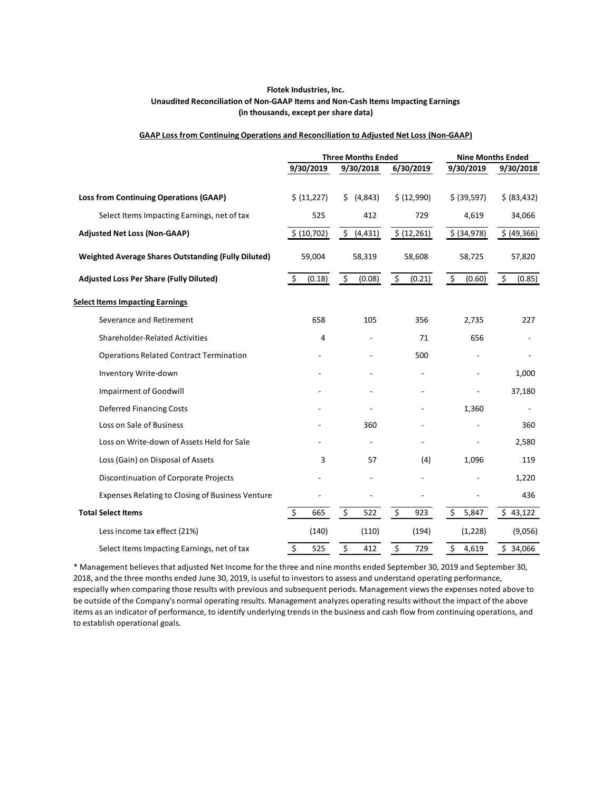### **Flotek Industries, Inc. Unaudited Reconciliation of Non-GAAP Items and Non-Cash Items Impacting Earnings (in thousands, except per share data)**

#### **GAAP Loss from Continuing Operations and Reconciliation to Adjusted Net Loss (Non-GAAP)**

|                                                            |                              |   | <b>Three Months Ended</b> |           |              |                    | <b>Nine Months Ended</b> |         |              |
|------------------------------------------------------------|------------------------------|---|---------------------------|-----------|--------------|--------------------|--------------------------|---------|--------------|
|                                                            | 9/30/2019                    |   | 9/30/2018                 | 6/30/2019 |              |                    | 9/30/2019                |         | 9/30/2018    |
|                                                            |                              |   |                           |           |              |                    |                          |         |              |
| <b>Loss from Continuing Operations (GAAP)</b>              | \$ (11,227)                  |   | (4, 843)<br>\$.           |           | \$ (12,990)  |                    | \$ (39,597)              |         | \$ (83, 432) |
| Select Items Impacting Earnings, net of tax                | 525                          |   | 412                       |           | 729          |                    | 4,619                    |         | 34,066       |
| <b>Adjusted Net Loss (Non-GAAP)</b>                        | \$ (10, 702)                 |   | $\frac{1}{2}$ (4,431)     |           | \$ (12, 261) |                    | \$ (34,978)              |         | \$ (49, 366) |
| <b>Weighted Average Shares Outstanding (Fully Diluted)</b> | 59,004                       |   | 58,319                    |           | 58,608       |                    | 58,725                   |         | 57,820       |
| <b>Adjusted Loss Per Share (Fully Diluted)</b>             | $\mathsf{\dot{S}}$<br>(0.18) |   | \$<br>(0.08)              | $\zeta$   | (0.21)       | $\ddot{\varsigma}$ | (0.60)                   | $\zeta$ | (0.85)       |
| <b>Select Items Impacting Earnings</b>                     |                              |   |                           |           |              |                    |                          |         |              |
| Severance and Retirement                                   | 658                          |   | 105                       |           | 356          |                    | 2,735                    |         | 227          |
| <b>Shareholder-Related Activities</b>                      |                              | 4 |                           |           | 71           |                    | 656                      |         |              |
| <b>Operations Related Contract Termination</b>             |                              |   |                           |           | 500          |                    |                          |         |              |
| Inventory Write-down                                       |                              |   |                           |           |              |                    |                          |         | 1,000        |
| <b>Impairment of Goodwill</b>                              |                              |   |                           |           |              |                    |                          |         | 37,180       |
| <b>Deferred Financing Costs</b>                            |                              |   |                           |           |              |                    | 1,360                    |         |              |
| Loss on Sale of Business                                   |                              |   | 360                       |           |              |                    |                          |         | 360          |
| Loss on Write-down of Assets Held for Sale                 |                              |   |                           |           |              |                    |                          |         | 2,580        |
| Loss (Gain) on Disposal of Assets                          |                              | 3 | 57                        |           | (4)          |                    | 1,096                    |         | 119          |
| Discontinuation of Corporate Projects                      |                              |   | L.                        |           |              |                    |                          |         | 1,220        |
| Expenses Relating to Closing of Business Venture           |                              |   |                           |           |              |                    |                          |         | 436          |
| <b>Total Select Items</b>                                  | \$<br>665                    |   | \$<br>522                 | \$        | 923          | \$                 | 5,847                    |         | \$43,122     |
| Less income tax effect (21%)                               | (140)                        |   | (110)                     |           | (194)        |                    | (1,228)                  |         | (9,056)      |
| Select Items Impacting Earnings, net of tax                | \$<br>525                    |   | \$<br>412                 | \$        | 729          | \$                 | 4,619                    |         | \$34,066     |

\* Management believes that adjusted Net Income for the three and nine months ended September 30, 2019 and September 30, 2018, and the three months ended June 30, 2019, is useful to investors to assess and understand operating performance, especially when comparing those results with previous and subsequent periods. Management views the expenses noted above to be outside of the Company's normal operating results. Management analyzes operating results without the impact of the above items as an indicator of performance, to identify underlying trends in the business and cash flow from continuing operations, and to establish operational goals.